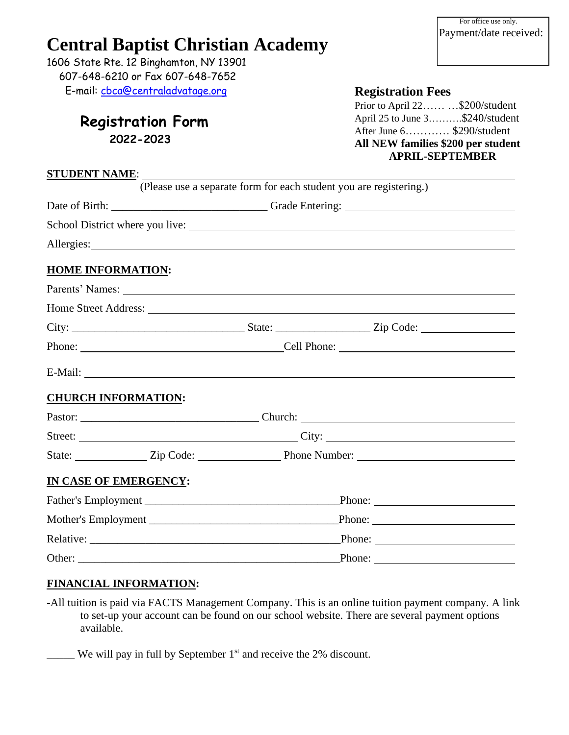# **Central Baptist Christian Academy**

1606 State Rte. 12 Binghamton, NY 13901 607-648-6210 or Fax 607-648-7652 E-mail: [cbca@centraladvatage.org](mailto:cbca@centraladvatage.org)

## **Registration Form 2022-2023**

### **Registration Fees**

Prior to April 22…… …\$200/student April 25 to June 3……….\$240/student After June 6………… \$290/student **All NEW families \$200 per student APRIL-SEPTEMBER**

|                                | (Please use a separate form for each student you are registering.) |  |
|--------------------------------|--------------------------------------------------------------------|--|
|                                |                                                                    |  |
|                                |                                                                    |  |
| Allergies: National Allergies: |                                                                    |  |
|                                |                                                                    |  |
| Parents' Names:                |                                                                    |  |
|                                |                                                                    |  |
|                                |                                                                    |  |
|                                |                                                                    |  |
|                                | E-Mail:                                                            |  |
|                                |                                                                    |  |
|                                |                                                                    |  |
|                                |                                                                    |  |
|                                |                                                                    |  |
|                                |                                                                    |  |
| $\text{Phone:}$                |                                                                    |  |
|                                |                                                                    |  |
|                                |                                                                    |  |
|                                |                                                                    |  |
|                                |                                                                    |  |

### **FINANCIAL INFORMATION:**

-All tuition is paid via FACTS Management Company. This is an online tuition payment company. A link to set-up your account can be found on our school website. There are several payment options available.

**We will pay in full by September 1st and receive the 2% discount.** 

Payment/date received: For office use only.